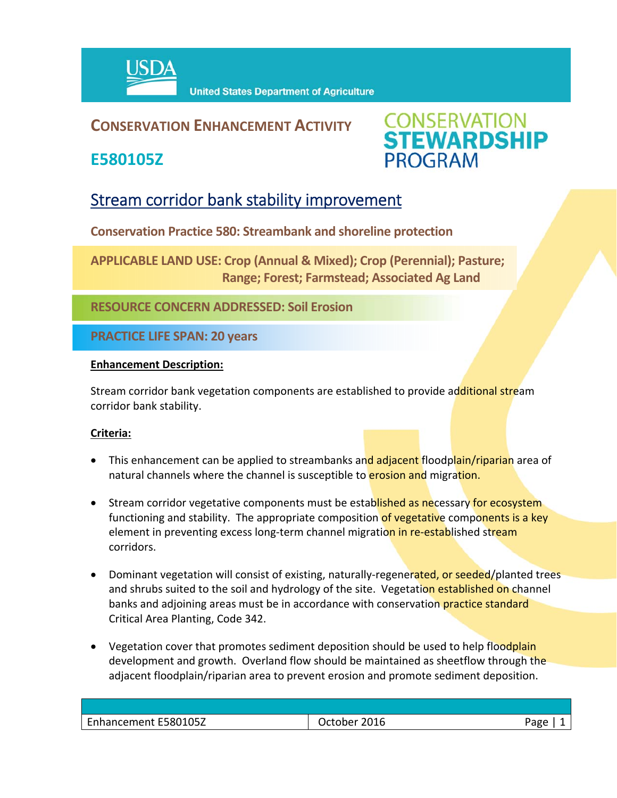

### **CONSERVATION ENHANCEMENT ACTIVITY**

**E580105Z**



## Stream corridor bank stability improvement

**Conservation Practice 580: Streambank and shoreline protection**

**APPLICABLE LAND USE: Crop (Annual & Mixed); Crop (Perennial); Pasture; Range; Forest; Farmstead; Associated Ag Land**

**RESOURCE CONCERN ADDRESSED: Soil Erosion**

**PRACTICE LIFE SPAN: 20 years**

#### **Enhancement Description:**

Stream corridor bank vegetation components are established to provide additional stream corridor bank stability.

#### **Criteria:**

- This enhancement can be applied to streambanks and adjacent floodplain/riparian area of natural channels where the channel is susceptible to **erosion and** migration.
- Stream corridor vegetative components must be established as necessary for ecosystem functioning and stability. The appropriate composition of vegetative components is a key element in preventing excess long-term channel migration in re-established stream corridors.
- Dominant vegetation will consist of existing, naturally-regenerated, or seeded/planted trees and shrubs suited to the soil and hydrology of the site. Vegetation established on channel banks and adjoining areas must be in accordance with conservation practice standard Critical Area Planting, Code 342.
- Vegetation cover that promotes sediment deposition should be used to help floodplain development and growth. Overland flow should be maintained as sheetflow through the adjacent floodplain/riparian area to prevent erosion and promote sediment deposition.

| Enhancement E580105Z | 2016<br>)ctober | Page |
|----------------------|-----------------|------|
|                      |                 |      |